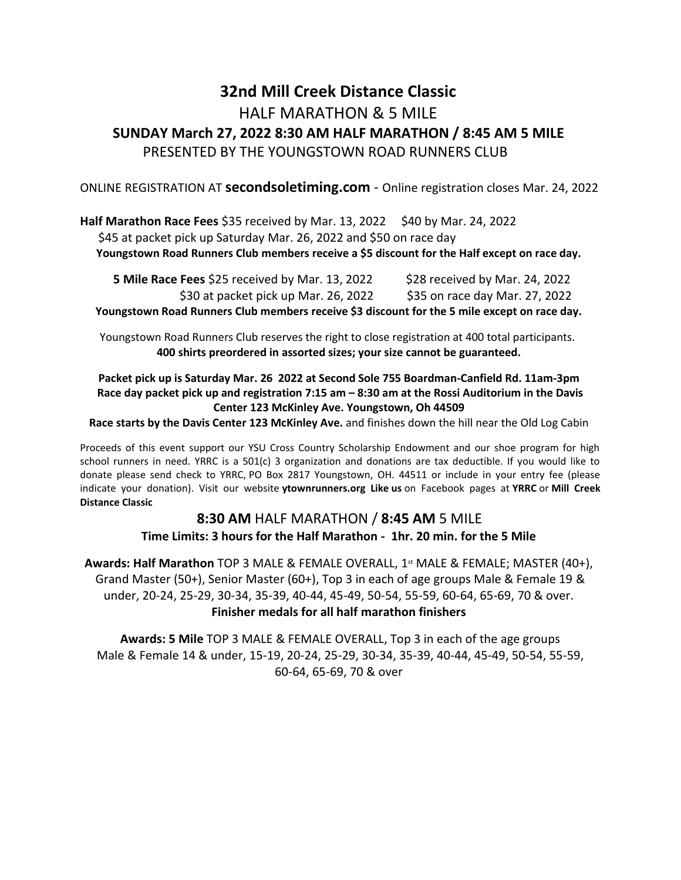# **32nd Mill Creek Distance Classic** HALF MARATHON & 5 MILE **SUNDAY March 27, 2022 8:30 AM HALF MARATHON / 8:45 AM 5 MILE** PRESENTED BY THE YOUNGSTOWN ROAD RUNNERS CLUB

ONLINE REGISTRATION AT **secondsoletiming.com** - Online registration closes Mar. 24, 2022

**Half Marathon Race Fees** \$35 received by Mar. 13, 2022 \$40 by Mar. 24, 2022 \$45 at packet pick up Saturday Mar. 26, 2022 and \$50 on race day **Youngstown Road Runners Club members receive a \$5 discount for the Half except on race day.**

| 5 Mile Race Fees \$25 received by Mar. 13, 2022                                              | \$28 received by Mar. 24, 2022 |
|----------------------------------------------------------------------------------------------|--------------------------------|
| \$30 at packet pick up Mar. 26, 2022                                                         | \$35 on race day Mar. 27, 2022 |
| Youngstown Road Runners Club members receive \$3 discount for the 5 mile except on race day. |                                |

Youngstown Road Runners Club reserves the right to close registration at 400 total participants. **400 shirts preordered in assorted sizes; your size cannot be guaranteed.**

### **Packet pick up is Saturday Mar. 26 2022 at Second Sole 755 Boardman-Canfield Rd. 11am-3pm Race day packet pick up and registration 7:15 am – 8:30 am at the Rossi Auditorium in the Davis Center 123 McKinley Ave. Youngstown, Oh 44509**

**Race starts by the Davis Center 123 McKinley Ave.** and finishes down the hill near the Old Log Cabin

Proceeds of this event support our YSU Cross Country Scholarship Endowment and our shoe program for high school runners in need. YRRC is a 501(c) 3 organization and donations are tax deductible. If you would like to donate please send check to YRRC, PO Box 2817 Youngstown, OH. 44511 or include in your entry fee (please indicate your donation). Visit our website **ytownrunners.org Like us** on Facebook pages at **YRRC** or **Mill Creek Distance Classic**

### **8:30 AM** HALF MARATHON / **8:45 AM** 5 MILE **Time Limits: 3 hours for the Half Marathon - 1hr. 20 min. for the 5 Mile**

Awards: Half Marathon TOP 3 MALE & FEMALE OVERALL, 1<sup>st</sup> MALE & FEMALE; MASTER (40+), Grand Master (50+), Senior Master (60+), Top 3 in each of age groups Male & Female 19 & under, 20-24, 25-29, 30-34, 35-39, 40-44, 45-49, 50-54, 55-59, 60-64, 65-69, 70 & over. **Finisher medals for all half marathon finishers**

**Awards: 5 Mile** TOP 3 MALE & FEMALE OVERALL, Top 3 in each of the age groups Male & Female 14 & under, 15-19, 20-24, 25-29, 30-34, 35-39, 40-44, 45-49, 50-54, 55-59, 60-64, 65-69, 70 & over